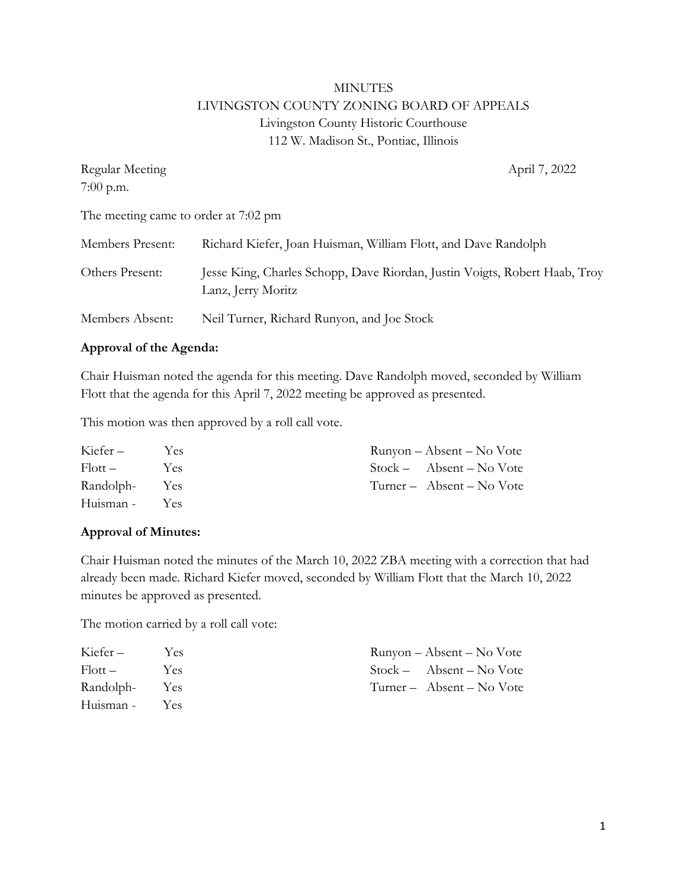# MINUTES LIVINGSTON COUNTY ZONING BOARD OF APPEALS Livingston County Historic Courthouse 112 W. Madison St., Pontiac, Illinois

| Regular Meeting                      | April 7, 2022                                                                                    |
|--------------------------------------|--------------------------------------------------------------------------------------------------|
| $7:00$ p.m.                          |                                                                                                  |
| The meeting came to order at 7:02 pm |                                                                                                  |
| Members Present:                     | Richard Kiefer, Joan Huisman, William Flott, and Dave Randolph                                   |
| Others Present:                      | Jesse King, Charles Schopp, Dave Riordan, Justin Voigts, Robert Haab, Troy<br>Lanz, Jerry Moritz |
| Members Absent:                      | Neil Turner, Richard Runyon, and Joe Stock                                                       |

#### **Approval of the Agenda:**

Chair Huisman noted the agenda for this meeting. Dave Randolph moved, seconded by William Flott that the agenda for this April 7, 2022 meeting be approved as presented.

This motion was then approved by a roll call vote.

| Kiefer –      | Yes. | Runyon – Absent – No Vote  |
|---------------|------|----------------------------|
| $Flott -$     | Yes  | $Stock - Absent - No Vote$ |
| Randolph- Yes |      | Turner – Absent – No Vote  |
| Huisman - Yes |      |                            |

#### **Approval of Minutes:**

Chair Huisman noted the minutes of the March 10, 2022 ZBA meeting with a correction that had already been made. Richard Kiefer moved, seconded by William Flott that the March 10, 2022 minutes be approved as presented.

The motion carried by a roll call vote:

| Kiefer –      | <b>Yes</b> | Runyon – Absent – No Vote  |
|---------------|------------|----------------------------|
| $Flott -$     | Yes        | $Stock - Absent - No Vote$ |
| Randolph- Yes |            | Turner – Absent – No Vote  |
| Huisman -     | <b>Yes</b> |                            |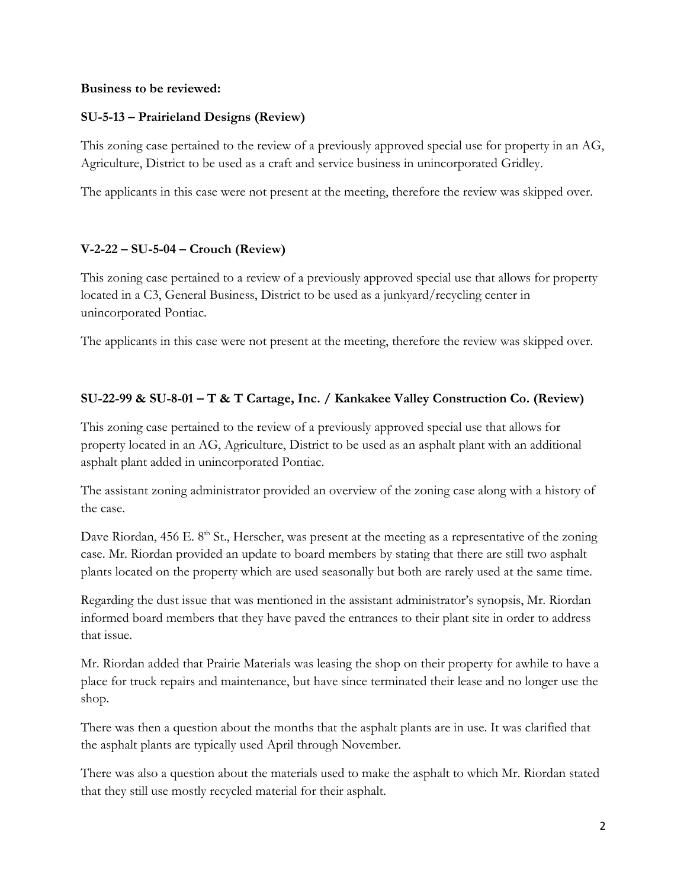#### **Business to be reviewed:**

## **SU-5-13 – Prairieland Designs (Review)**

This zoning case pertained to the review of a previously approved special use for property in an AG, Agriculture, District to be used as a craft and service business in unincorporated Gridley.

The applicants in this case were not present at the meeting, therefore the review was skipped over.

#### **V-2-22 – SU-5-04 – Crouch (Review)**

This zoning case pertained to a review of a previously approved special use that allows for property located in a C3, General Business, District to be used as a junkyard/recycling center in unincorporated Pontiac.

The applicants in this case were not present at the meeting, therefore the review was skipped over.

## **SU-22-99 & SU-8-01 – T & T Cartage, Inc. / Kankakee Valley Construction Co. (Review)**

This zoning case pertained to the review of a previously approved special use that allows for property located in an AG, Agriculture, District to be used as an asphalt plant with an additional asphalt plant added in unincorporated Pontiac.

The assistant zoning administrator provided an overview of the zoning case along with a history of the case.

Dave Riordan, 456 E. 8<sup>th</sup> St., Herscher, was present at the meeting as a representative of the zoning case. Mr. Riordan provided an update to board members by stating that there are still two asphalt plants located on the property which are used seasonally but both are rarely used at the same time.

Regarding the dust issue that was mentioned in the assistant administrator's synopsis, Mr. Riordan informed board members that they have paved the entrances to their plant site in order to address that issue.

Mr. Riordan added that Prairie Materials was leasing the shop on their property for awhile to have a place for truck repairs and maintenance, but have since terminated their lease and no longer use the shop.

There was then a question about the months that the asphalt plants are in use. It was clarified that the asphalt plants are typically used April through November.

There was also a question about the materials used to make the asphalt to which Mr. Riordan stated that they still use mostly recycled material for their asphalt.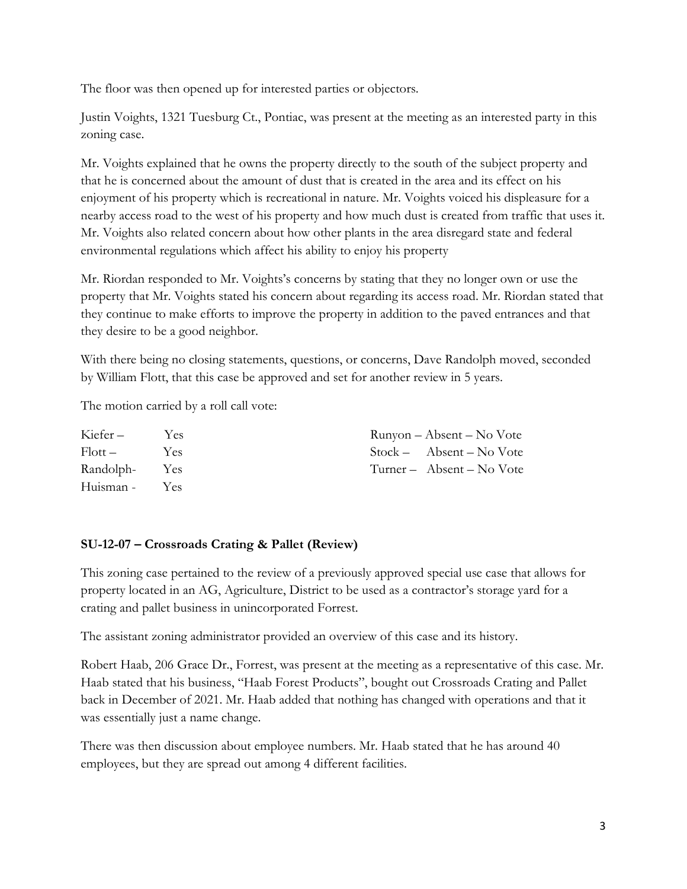The floor was then opened up for interested parties or objectors.

Justin Voights, 1321 Tuesburg Ct., Pontiac, was present at the meeting as an interested party in this zoning case.

Mr. Voights explained that he owns the property directly to the south of the subject property and that he is concerned about the amount of dust that is created in the area and its effect on his enjoyment of his property which is recreational in nature. Mr. Voights voiced his displeasure for a nearby access road to the west of his property and how much dust is created from traffic that uses it. Mr. Voights also related concern about how other plants in the area disregard state and federal environmental regulations which affect his ability to enjoy his property

Mr. Riordan responded to Mr. Voights's concerns by stating that they no longer own or use the property that Mr. Voights stated his concern about regarding its access road. Mr. Riordan stated that they continue to make efforts to improve the property in addition to the paved entrances and that they desire to be a good neighbor.

With there being no closing statements, questions, or concerns, Dave Randolph moved, seconded by William Flott, that this case be approved and set for another review in 5 years.

The motion carried by a roll call vote:

| Kiefer –      | Yes. | Runyon – Absent – No Vote  |
|---------------|------|----------------------------|
| $Flott -$     | Yes  | $Stock - Absent - No Vote$ |
| Randolph- Yes |      | Turner – Absent – No Vote  |
| Huisman - Yes |      |                            |

## **SU-12-07 – Crossroads Crating & Pallet (Review)**

This zoning case pertained to the review of a previously approved special use case that allows for property located in an AG, Agriculture, District to be used as a contractor's storage yard for a crating and pallet business in unincorporated Forrest.

The assistant zoning administrator provided an overview of this case and its history.

Robert Haab, 206 Grace Dr., Forrest, was present at the meeting as a representative of this case. Mr. Haab stated that his business, "Haab Forest Products", bought out Crossroads Crating and Pallet back in December of 2021. Mr. Haab added that nothing has changed with operations and that it was essentially just a name change.

There was then discussion about employee numbers. Mr. Haab stated that he has around 40 employees, but they are spread out among 4 different facilities.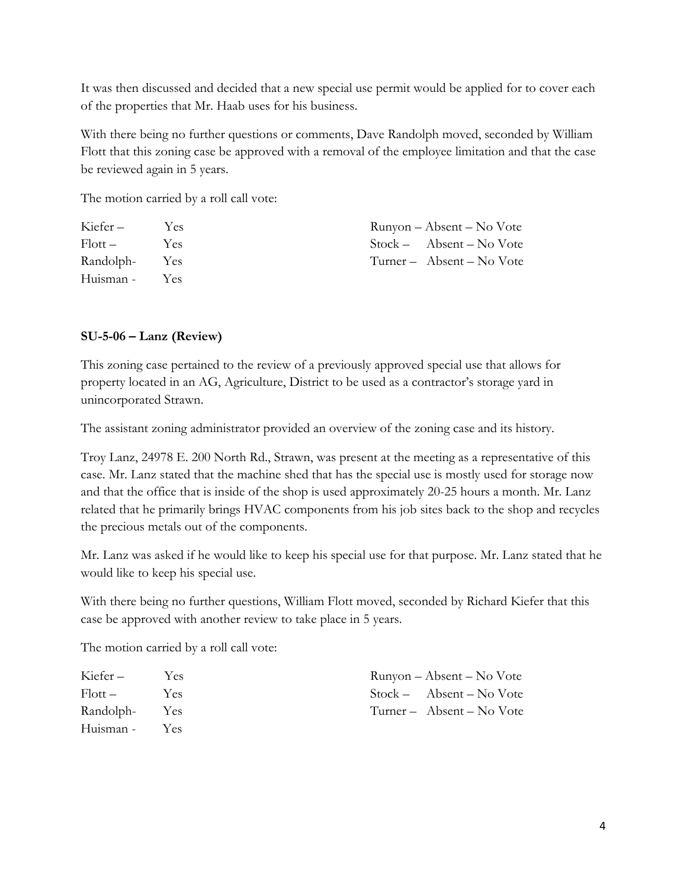It was then discussed and decided that a new special use permit would be applied for to cover each of the properties that Mr. Haab uses for his business.

With there being no further questions or comments, Dave Randolph moved, seconded by William Flott that this zoning case be approved with a removal of the employee limitation and that the case be reviewed again in 5 years.

The motion carried by a roll call vote:

| Kiefer –            | Yes   | Runyon – Absent – No Vote  |
|---------------------|-------|----------------------------|
| $F _{\text{Ott}} =$ | - Yes | $Stock - Absent - No Vote$ |
| Randolph- Yes       |       | Turner – Absent – No Vote  |
| Huisman - Yes       |       |                            |

#### **SU-5-06 – Lanz (Review)**

This zoning case pertained to the review of a previously approved special use that allows for property located in an AG, Agriculture, District to be used as a contractor's storage yard in unincorporated Strawn.

The assistant zoning administrator provided an overview of the zoning case and its history.

Troy Lanz, 24978 E. 200 North Rd., Strawn, was present at the meeting as a representative of this case. Mr. Lanz stated that the machine shed that has the special use is mostly used for storage now and that the office that is inside of the shop is used approximately 20-25 hours a month. Mr. Lanz related that he primarily brings HVAC components from his job sites back to the shop and recycles the precious metals out of the components.

Mr. Lanz was asked if he would like to keep his special use for that purpose. Mr. Lanz stated that he would like to keep his special use.

With there being no further questions, William Flott moved, seconded by Richard Kiefer that this case be approved with another review to take place in 5 years.

The motion carried by a roll call vote:

| Kiefer –            | Yes. | Runyon – Absent – No Vote  |
|---------------------|------|----------------------------|
| $F _{\text{Ott}} =$ | Yes  | $Stock - Absent - No Vote$ |
| Randolph- Yes       |      | Turner – Absent – No Vote  |
| Huisman - Yes       |      |                            |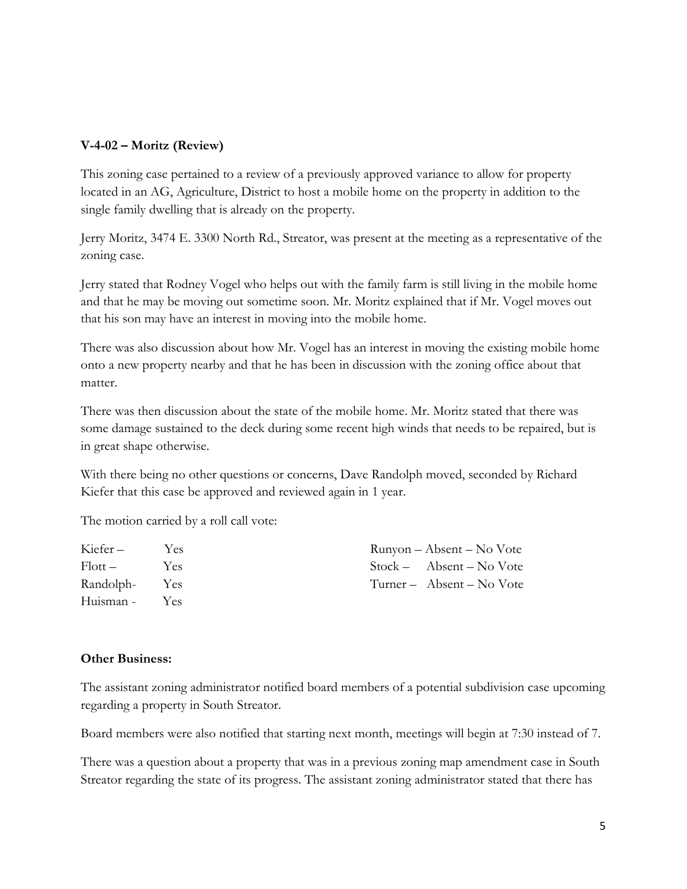## **V-4-02 – Moritz (Review)**

This zoning case pertained to a review of a previously approved variance to allow for property located in an AG, Agriculture, District to host a mobile home on the property in addition to the single family dwelling that is already on the property.

Jerry Moritz, 3474 E. 3300 North Rd., Streator, was present at the meeting as a representative of the zoning case.

Jerry stated that Rodney Vogel who helps out with the family farm is still living in the mobile home and that he may be moving out sometime soon. Mr. Moritz explained that if Mr. Vogel moves out that his son may have an interest in moving into the mobile home.

There was also discussion about how Mr. Vogel has an interest in moving the existing mobile home onto a new property nearby and that he has been in discussion with the zoning office about that matter.

There was then discussion about the state of the mobile home. Mr. Moritz stated that there was some damage sustained to the deck during some recent high winds that needs to be repaired, but is in great shape otherwise.

With there being no other questions or concerns, Dave Randolph moved, seconded by Richard Kiefer that this case be approved and reviewed again in 1 year.

The motion carried by a roll call vote:

| Kiefer –      | Yes. | Runyon – Absent – No Vote  |
|---------------|------|----------------------------|
| $Flott -$     | Yes  | $Stock - Absent - No Vote$ |
| Randolph- Yes |      | Turner – Absent – No Vote  |
| Huisman - Yes |      |                            |

#### **Other Business:**

The assistant zoning administrator notified board members of a potential subdivision case upcoming regarding a property in South Streator.

Board members were also notified that starting next month, meetings will begin at 7:30 instead of 7.

There was a question about a property that was in a previous zoning map amendment case in South Streator regarding the state of its progress. The assistant zoning administrator stated that there has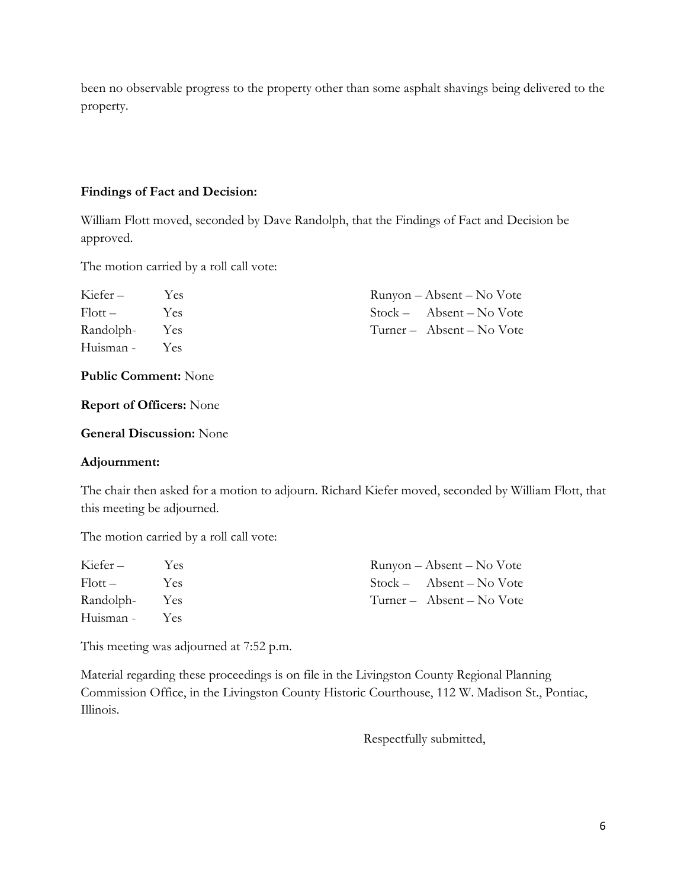been no observable progress to the property other than some asphalt shavings being delivered to the property.

#### **Findings of Fact and Decision:**

William Flott moved, seconded by Dave Randolph, that the Findings of Fact and Decision be approved.

The motion carried by a roll call vote:

| Kiefer –      | Yes | Runyon – Absent – No Vote  |
|---------------|-----|----------------------------|
| $Flott -$     | Yes | $Stock - Absent - No Vote$ |
| Randolph- Yes |     | Turner – Absent – No Vote  |
| Huisman - Yes |     |                            |

**Public Comment:** None

**Report of Officers:** None

**General Discussion:** None

#### **Adjournment:**

The chair then asked for a motion to adjourn. Richard Kiefer moved, seconded by William Flott, that this meeting be adjourned.

The motion carried by a roll call vote:

| Kiefer –            | Yes. | Runyon – Absent – No Vote  |
|---------------------|------|----------------------------|
| $F _{\text{Ott}} =$ | Yes  | $Stock - Absent - No Vote$ |
| Randolph- Yes       |      | Turner – Absent – No Vote  |
| Huisman - Yes       |      |                            |

This meeting was adjourned at 7:52 p.m.

Material regarding these proceedings is on file in the Livingston County Regional Planning Commission Office, in the Livingston County Historic Courthouse, 112 W. Madison St., Pontiac, Illinois.

Respectfully submitted,